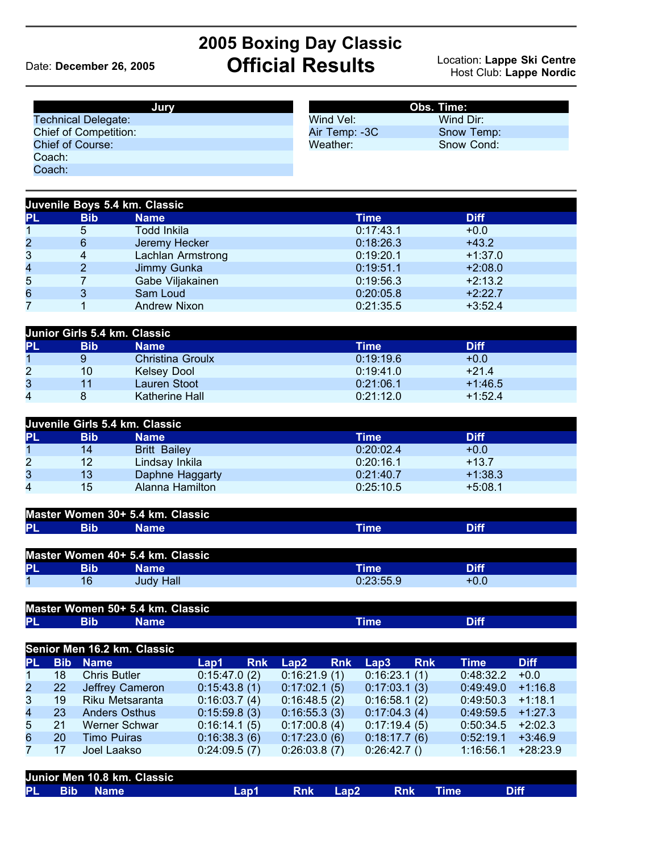## **2005 Boxing Day Classic** Date: December 26, 2005 **Official Results**

## Location: Lappe Ski Centre<br>Host Club: Lappe Nordic

| Jury                         | Obs. Time:    |            |  |  |
|------------------------------|---------------|------------|--|--|
| <b>Technical Delegate:</b>   | Wind Vel:     | Wind Dir:  |  |  |
| <b>Chief of Competition:</b> | Air Temp: -3C | Snow Temp: |  |  |
| Chief of Course:             | Weather:      | Snow Cond: |  |  |
| Coach:                       |               |            |  |  |
| Coach:                       |               |            |  |  |

| Juvenile Boys 5.4 km. Classic |            |                     |           |             |  |  |  |  |
|-------------------------------|------------|---------------------|-----------|-------------|--|--|--|--|
| <b>PL</b>                     | <b>Bib</b> | <b>Name</b>         | Time      | <b>Diff</b> |  |  |  |  |
|                               | 5          | Todd Inkila         | 0:17:43.1 | $+0.0$      |  |  |  |  |
| $\overline{2}$                | 6          | Jeremy Hecker       | 0:18:26.3 | $+43.2$     |  |  |  |  |
| 3                             | 4          | Lachlan Armstrong   | 0:19:20.1 | $+1:37.0$   |  |  |  |  |
| 4                             |            | Jimmy Gunka         | 0:19:51.1 | $+2:08.0$   |  |  |  |  |
| 5                             |            | Gabe Viljakainen    | 0:19:56.3 | $+2:13.2$   |  |  |  |  |
| 6                             |            | Sam Loud            | 0:20:05.8 | $+2:22.7$   |  |  |  |  |
| 7                             |            | <b>Andrew Nixon</b> | 0:21:35.5 | $+3:52.4$   |  |  |  |  |

| Junior Girls 5.4 km. Classic |            |                         |             |             |  |  |  |  |
|------------------------------|------------|-------------------------|-------------|-------------|--|--|--|--|
| PL                           | <b>Bib</b> | <b>Name</b>             | <b>Time</b> | <b>Diff</b> |  |  |  |  |
|                              |            | <b>Christina Groulx</b> | 0:19:19.6   | $+0.0$      |  |  |  |  |
| 2                            | 10         | <b>Kelsey Dool</b>      | 0:19:41.0   | $+21.4$     |  |  |  |  |
| 3                            | 11         | Lauren Stoot            | 0:21:06.1   | $+1:46.5$   |  |  |  |  |
| 4                            |            | Katherine Hall          | 0:21:12.0   | $+1:52.4$   |  |  |  |  |

| Juvenile Girls 5.4 km. Classic |                 |                     |           |             |  |  |  |  |
|--------------------------------|-----------------|---------------------|-----------|-------------|--|--|--|--|
| IPL                            | <b>Bib</b>      | <b>Name</b>         | Time      | <b>Diff</b> |  |  |  |  |
|                                | 14              | <b>Britt Bailey</b> | 0:20:02.4 | $+0.0$      |  |  |  |  |
| $\overline{2}$                 | 12 <sup>°</sup> | Lindsay Inkila      | 0:20:16.1 | $+13.7$     |  |  |  |  |
| 3                              | 13              | Daphne Haggarty     | 0:21:40.7 | $+1:38.3$   |  |  |  |  |
| 4                              | 15              | Alanna Hamilton     | 0:25:10.5 | $+5:08.1$   |  |  |  |  |

| Master Women 30+ 5.4 km. Classic |      |             |  |
|----------------------------------|------|-------------|--|
| PL<br>Bib                        | Name | <b>Time</b> |  |

| Master Women 40+ 5.4 km. Classic |     |           |           |             |  |  |
|----------------------------------|-----|-----------|-----------|-------------|--|--|
| <b>PL</b>                        | Bib | Name'     | Time'     | <b>Diff</b> |  |  |
|                                  | 16  | Judy Hall | 0:23:55.9 | $+0.0$      |  |  |

|    | Master Women 50+ 5.4 km. Classic |      |  |
|----|----------------------------------|------|--|
| PL |                                  | ⊺ime |  |

| Senior Men 16.2 km. Classic |           |                      |              |            |              |            |              |            |                     |             |
|-----------------------------|-----------|----------------------|--------------|------------|--------------|------------|--------------|------------|---------------------|-------------|
| <b>PL</b>                   |           | <b>Bib Name</b>      | Lap1         | <b>Rnk</b> | Lap2         | <b>Rnk</b> | Lap3         | <b>Rnk</b> | Time                | <b>Diff</b> |
| 17                          | 18        | <b>Chris Butler</b>  | 0:15:47.0(2) |            | 0:16:21.9(1) |            | 0:16:23.1(1) |            | 0:48:32.2           | $+0.0$      |
| $2\sqrt{ }$                 | <b>22</b> | Jeffrey Cameron      | 0:15:43.8(1) |            | 0:17:02.1(5) |            | 0:17:03.1(3) |            | 0.49:49.0           | $+1:16.8$   |
| 3 <sup>7</sup>              | 19        | Riku Metsaranta      | 0:16:03.7(4) |            | 0:16:48.5(2) |            | 0:16:58.1(2) |            | 0:49:50.3           | $+1:18.1$   |
| 4                           | 23        | <b>Anders Osthus</b> | 0:15:59.8(3) |            | 0:16:55.3(3) |            | 0:17:04.3(4) |            | $0:49:59.5$ +1:27.3 |             |
| 5                           | 21        | Werner Schwar        | 0:16:14.1(5) |            | 0:17:00.8(4) |            | 0:17:19.4(5) |            | 0:50:34.5           | $+2:02.3$   |
| 6                           | 20        | <b>Timo Puiras</b>   | 0:16:38.3(6) |            | 0:17:23.0(6) |            | 0:18:17.7(6) |            | 0:52:19.1           | $+3:46.9$   |
|                             | 17        | Joel Laakso          | 0:24:09.5(7) |            | 0:26:03.8(7) |            | 0:26:42.7()  |            | 1:16:56.1           | $+28:23.9$  |
|                             |           |                      |              |            |              |            |              |            |                     |             |

|  | Junior Men 10.8 km. Classic |      |            |                              |            |             |  |
|--|-----------------------------|------|------------|------------------------------|------------|-------------|--|
|  | PL Bib Name                 | Lap1 | <b>Rnk</b> | $\mathsf{L}$ an $\mathsf{2}$ | <b>Rnk</b> | <b>Time</b> |  |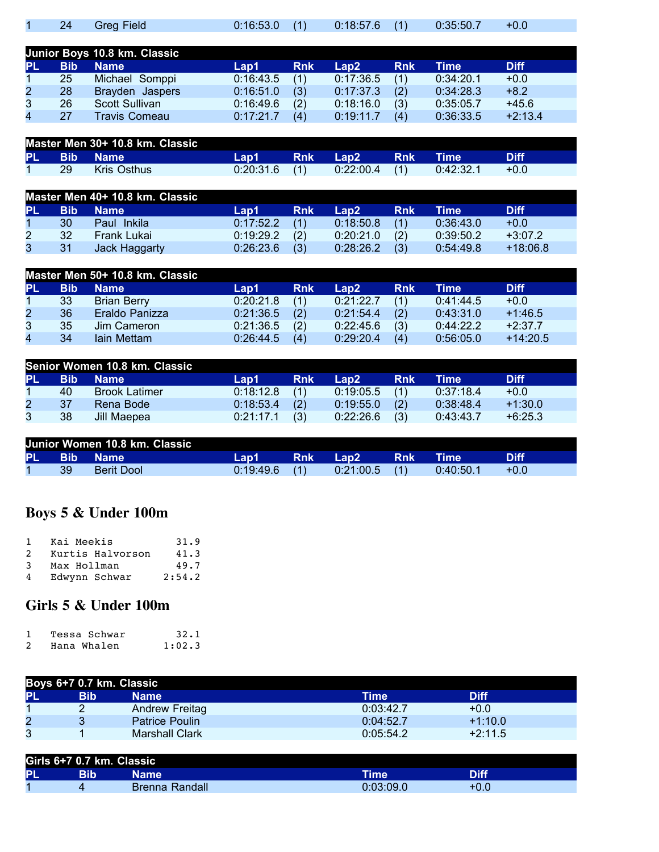|  | 1 24 Greg Field |  | $0:16:53.0$ (1) $0:18:57.6$ (1) $0:35:50.7$ |  |  |
|--|-----------------|--|---------------------------------------------|--|--|

|              |            | Junior Boys 10.8 km. Classic |           |            |           |            |           |             |
|--------------|------------|------------------------------|-----------|------------|-----------|------------|-----------|-------------|
| PL           | <b>Bib</b> | <b>Name</b>                  | Lap1      | <b>Rnk</b> | Lap2.     | <b>Rnk</b> | Time      | <b>Diff</b> |
|              | 25         | Michael Somppi               | 0:16:43.5 | (1)        | 0:17:36.5 | (1)        | 0:34:20.1 | $+0.0$      |
| $\mathbf{2}$ | 28         | Brayden Jaspers              | 0:16:51.0 | (3)        | 0:17:37.3 | (2)        | 0:34:28.3 | $+8.2$      |
| 3            | 26         | <b>Scott Sullivan</b>        | 0:16:49.6 | (2)        | 0:18:16.0 | (3)        | 0:35:05.7 | $+45.6$     |
| 4            | 27         | <b>Travis Comeau</b>         | 0:17:21.7 | (4)        | 0:19:11.7 | (4)        | 0:36:33.5 | $+2:13.4$   |

|           | Master Men 30+ 10.8 km. Classic |             |                 |            |                   |            |           |        |  |
|-----------|---------------------------------|-------------|-----------------|------------|-------------------|------------|-----------|--------|--|
| <b>PL</b> | N BibN                          | <b>Name</b> | Lap1            | <b>Rnk</b> | Lan2 <sup>1</sup> | <b>Rnk</b> | Time      |        |  |
|           | 29                              | Kris Osthus | $0:20:31.6$ (1) |            | 0:22:00.4         |            | 0:42:32.1 | $+0.0$ |  |

|    | Master Men 40+ 10.8 km. Classic |               |           |            |           |            |           |             |  |  |
|----|---------------------------------|---------------|-----------|------------|-----------|------------|-----------|-------------|--|--|
| PL | <b>Bib</b>                      | <b>Name</b>   | Lap1.     | <b>Rnk</b> | Lap2      | <b>Rnk</b> | Time      | <b>Diff</b> |  |  |
|    | 30                              | Paul Inkila   | 0:17:52.2 | (1)        | 0:18:50.8 | (1)        | 0:36:43.0 | $+0.0$      |  |  |
| 2  | 32                              | Frank Lukai   | 0:19:29.2 | (2)        | 0:20:21.0 | (2)        | 0:39:50.2 | $+3:07.2$   |  |  |
|    | 31                              | Jack Haggarty | 0:26:23.6 | (3)        | 0:28:26.2 | (3)        | 0:54:49.8 | $+18:06.8$  |  |  |

|                | Master Men 50+ 10.8 km. Classic |                    |           |            |           |            |               |             |  |  |
|----------------|---------------------------------|--------------------|-----------|------------|-----------|------------|---------------|-------------|--|--|
| PL             | <b>Bib</b>                      | <b>Name</b>        | Lap1      | <b>Rnk</b> | Lap2.     | <b>Rnk</b> | Time <b>\</b> | <b>Diff</b> |  |  |
|                | 33                              | <b>Brian Berry</b> | 0:20:21.8 | (1)        | 0:21:22.7 |            | 0.41:44.5     | $+0.0$      |  |  |
| $\overline{2}$ | 36                              | Eraldo Panizza     | 0:21:36.5 | (2)        | 0:21:54.4 | (2)        | 0:43:31.0     | $+1:46.5$   |  |  |
| 3              | 35                              | Jim Cameron        | 0:21:36.5 | (2)        | 0:22:45.6 | (3)        | 0:44:22.2     | $+2:37.7$   |  |  |
| 4              | 34                              | Iain Mettam        | 0:26:44.5 | (4)        | 0:29:20.4 | (4)        | 0:56:05.0     | $+14:20.5$  |  |  |

|                | Senior Women 10.8 km. Classic |                      |           |            |           |            |           |             |  |  |
|----------------|-------------------------------|----------------------|-----------|------------|-----------|------------|-----------|-------------|--|--|
| PL             | <b>Bib</b>                    | <b>Name</b>          | Lap1      | <b>Rnk</b> | Lap2      | <b>Rnk</b> | Time      | <b>Diff</b> |  |  |
|                | 40                            | <b>Brook Latimer</b> | 0:18:12.8 | (1)        | 0:19:05.5 | $\sim$ (1) | 0:37:18.4 | $+0.0$      |  |  |
| $\overline{2}$ | 37                            | Rena Bode            | 0:18:53.4 | (2)        | 0:19:55.0 | (2)        | 0:38:48.4 | $+1:30.0$   |  |  |
|                | 38                            | Jill Maepea          | 0:21:17.1 | (3)        | 0:22:26.6 | (3)        | 0:43:43.7 | $+6:25.3$   |  |  |

| Junior Women 10.8 km. Classic |            |                   |           |            |                              |            |             |        |  |
|-------------------------------|------------|-------------------|-----------|------------|------------------------------|------------|-------------|--------|--|
| <b>PL</b>                     | <b>Bib</b> | <b>Name</b>       | Lap1.     | <b>Rnk</b> | $\mathsf{L}$ an $\mathsf{L}$ | <b>Rnk</b> | <b>Time</b> |        |  |
|                               | 39         | <b>Berit Dool</b> | 0:19:49.6 |            | $0:21:00.5$ (1)              |            | 0:40:50.1   | $+0.0$ |  |

## **Boys 5 & Under 100m**

| -1            | Kai Meekis       | 31.9   |
|---------------|------------------|--------|
| $\mathcal{P}$ | Kurtis Halvorson | 41.3   |
| 3             | Max Hollman      | 49.7   |
| 4             | Edwynn Schwar    | 2:54.2 |

## **Girls 5 & Under 100m**

| Tessa Schwar | 32.1   |
|--------------|--------|
| Hana Whalen  | 1:02.3 |

| Boys 6+7 0.7 km. Classic |            |                       |           |           |  |  |  |
|--------------------------|------------|-----------------------|-----------|-----------|--|--|--|
| IPL                      | <b>Bib</b> | Name                  | Time      | Diff      |  |  |  |
|                          |            | Andrew Freitag        | 0:03:42.7 | $+0.0$    |  |  |  |
| $\overline{2}$           |            | <b>Patrice Poulin</b> | 0:04:52.7 | $+1:10.0$ |  |  |  |
| 3                        |            | <b>Marshall Clark</b> | 0:05:54.2 | $+2:11.5$ |  |  |  |

|    | Girls 6+7 0.7 km. Classic |                |             |             |
|----|---------------------------|----------------|-------------|-------------|
| PI | Bib                       | Name           | <b>Time</b> | <b>Diff</b> |
|    |                           | Brenna Randall | 0:03:09.0   | $+0.0$      |